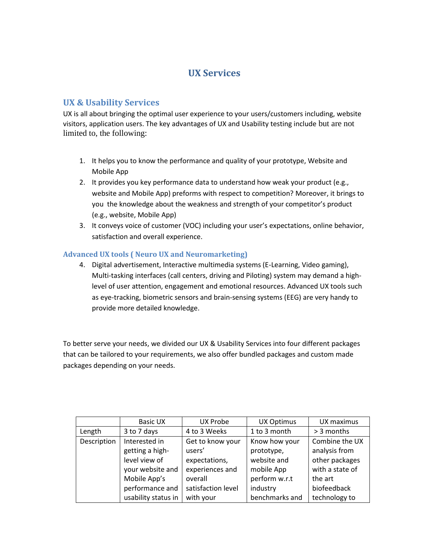# **UX Services**

# **UX & Usability Services**

UX is all about bringing the optimal user experience to your users/customers including, website visitors, application users. The key advantages of UX and Usability testing include but are not limited to, the following:

- 1. It helps you to know the performance and quality of your prototype, Website and Mobile App
- 2. It provides you key performance data to understand how weak your product (e.g., website and Mobile App) preforms with respect to competition? Moreover, it brings to you the knowledge about the weakness and strength of your competitor's product (e.g., website, Mobile App)
- 3. It conveys voice of customer (VOC) including your user's expectations, online behavior, satisfaction and overall experience.

# **Advanced UX tools ( Neuro UX and Neuromarketing)**

4. Digital advertisement, Interactive multimedia systems (E-Learning, Video gaming), Multi-tasking interfaces (call centers, driving and Piloting) system may demand a highlevel of user attention, engagement and emotional resources. Advanced UX tools such as eye-tracking, biometric sensors and brain-sensing systems (EEG) are very handy to provide more detailed knowledge.

To better serve your needs, we divided our UX & Usability Services into four different packages that can be tailored to your requirements, we also offer bundled packages and custom made packages depending on your needs.

|             | <b>Basic UX</b>     | <b>UX Probe</b>    | <b>UX Optimus</b> | UX maximus      |
|-------------|---------------------|--------------------|-------------------|-----------------|
| Length      | 3 to 7 days         | 4 to 3 Weeks       | 1 to 3 month      | > 3 months      |
| Description | Interested in       | Get to know your   | Know how your     | Combine the UX  |
|             | getting a high-     | users'             | prototype,        | analysis from   |
|             | level view of       | expectations,      | website and       | other packages  |
|             | your website and    | experiences and    | mobile App        | with a state of |
|             | Mobile App's        | overall            | perform w.r.t     | the art         |
|             | performance and     | satisfaction level | industry          | biofeedback     |
|             | usability status in | with your          | benchmarks and    | technology to   |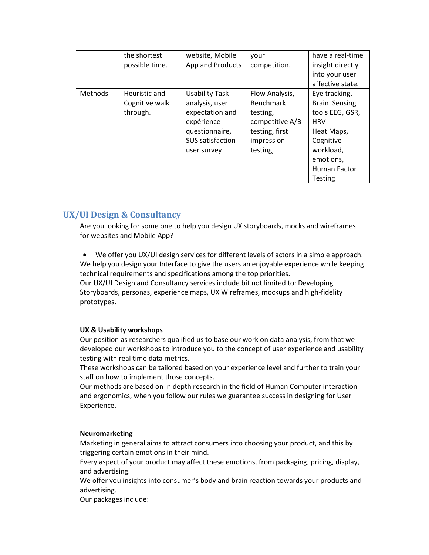|                | the shortest<br>possible time.              | website, Mobile<br>App and Products                                                                                           | vour<br>competition.                                                                                          | have a real-time<br>insight directly<br>into your user                                                                                      |
|----------------|---------------------------------------------|-------------------------------------------------------------------------------------------------------------------------------|---------------------------------------------------------------------------------------------------------------|---------------------------------------------------------------------------------------------------------------------------------------------|
|                |                                             |                                                                                                                               |                                                                                                               | affective state.                                                                                                                            |
| <b>Methods</b> | Heuristic and<br>Cognitive walk<br>through. | <b>Usability Task</b><br>analysis, user<br>expectation and<br>expérience<br>questionnaire,<br>SUS satisfaction<br>user survey | Flow Analysis,<br><b>Benchmark</b><br>testing,<br>competitive A/B<br>testing, first<br>impression<br>testing, | Eye tracking,<br><b>Brain Sensing</b><br>tools EEG, GSR,<br><b>HRV</b><br>Heat Maps,<br>Cognitive<br>workload,<br>emotions,<br>Human Factor |
|                |                                             |                                                                                                                               |                                                                                                               | <b>Testing</b>                                                                                                                              |

# **UX/UI Design & Consultancy**

Are you looking for some one to help you design UX storyboards, mocks and wireframes for websites and Mobile App?

 We offer you UX/UI design services for different levels of actors in a simple approach. We help you design your Interface to give the users an enjoyable experience while keeping technical requirements and specifications among the top priorities.

Our UX/UI Design and Consultancy services include bit not limited to: Developing Storyboards, personas, experience maps, UX Wireframes, mockups and high-fidelity prototypes.

#### **UX & Usability workshops**

Our position as researchers qualified us to base our work on data analysis, from that we developed our workshops to introduce you to the concept of user experience and usability testing with real time data metrics.

These workshops can be tailored based on your experience level and further to train your staff on how to implement those concepts.

Our methods are based on in depth research in the field of Human Computer interaction and ergonomics, when you follow our rules we guarantee success in designing for User Experience.

#### **Neuromarketing**

Marketing in general aims to attract consumers into choosing your product, and this by triggering certain emotions in their mind.

Every aspect of your product may affect these emotions, from packaging, pricing, display, and advertising.

We offer you insights into consumer's body and brain reaction towards your products and advertising.

Our packages include: